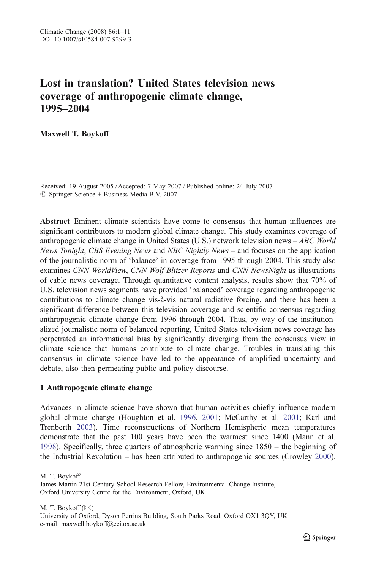# Lost in translation? United States television news coverage of anthropogenic climate change, 1995–2004

Maxwell T. Boykoff

Received: 19 August 2005 / Accepted: 7 May 2007 / Published online: 24 July 2007  $\circledcirc$  Springer Science + Business Media B.V. 2007

Abstract Eminent climate scientists have come to consensus that human influences are significant contributors to modern global climate change. This study examines coverage of anthropogenic climate change in United States (U.S.) network television news  $-$  ABC World News Tonight, CBS Evening News and NBC Nightly News – and focuses on the application of the journalistic norm of 'balance' in coverage from 1995 through 2004. This study also examines CNN WorldView, CNN Wolf Blitzer Reports and CNN NewsNight as illustrations of cable news coverage. Through quantitative content analysis, results show that 70% of U.S. television news segments have provided 'balanced' coverage regarding anthropogenic contributions to climate change vis-à-vis natural radiative forcing, and there has been a significant difference between this television coverage and scientific consensus regarding anthropogenic climate change from 1996 through 2004. Thus, by way of the institutionalized journalistic norm of balanced reporting, United States television news coverage has perpetrated an informational bias by significantly diverging from the consensus view in climate science that humans contribute to climate change. Troubles in translating this consensus in climate science have led to the appearance of amplified uncertainty and debate, also then permeating public and policy discourse.

# 1 Anthropogenic climate change

Advances in climate science have shown that human activities chiefly influence modern global climate change (Houghton et al. [1996](#page-9-0), [2001](#page-9-0); McCarthy et al. [2001](#page-9-0); Karl and Trenberth [2003\)](#page-9-0). Time reconstructions of Northern Hemispheric mean temperatures demonstrate that the past 100 years have been the warmest since 1400 (Mann et al. [1998\)](#page-9-0). Specifically, three quarters of atmospheric warming since 1850 – the beginning of the Industrial Revolution – has been attributed to anthropogenic sources (Crowley [2000](#page-9-0)).

M. T. Boykoff

James Martin 21st Century School Research Fellow, Environmental Change Institute, Oxford University Centre for the Environment, Oxford, UK

M. T. Boykoff  $(\boxtimes)$ 

University of Oxford, Dyson Perrins Building, South Parks Road, Oxford OX1 3QY, UK e-mail: maxwell.boykoff@eci.ox.ac.uk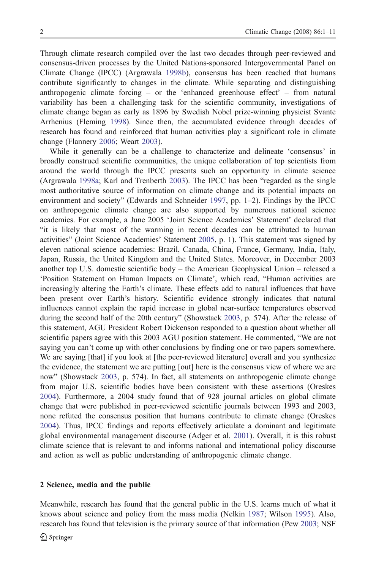Through climate research compiled over the last two decades through peer-reviewed and consensus-driven processes by the United Nations-sponsored Intergovernmental Panel on Climate Change (IPCC) (Argrawala [1998b](#page-8-0)), consensus has been reached that humans contribute significantly to changes in the climate. While separating and distinguishing anthropogenic climate forcing – or the 'enhanced greenhouse effect' – from natural variability has been a challenging task for the scientific community, investigations of climate change began as early as 1896 by Swedish Nobel prize-winning physicist Svante Arrhenius (Fleming [1998\)](#page-9-0). Since then, the accumulated evidence through decades of research has found and reinforced that human activities play a significant role in climate change (Flannery [2006;](#page-9-0) Weart [2003\)](#page-10-0).

While it generally can be a challenge to characterize and delineate 'consensus' in broadly construed scientific communities, the unique collaboration of top scientists from around the world through the IPCC presents such an opportunity in climate science (Argrawala [1998a](#page-8-0); Karl and Trenberth [2003\)](#page-9-0). The IPCC has been "regarded as the single most authoritative source of information on climate change and its potential impacts on environment and society" (Edwards and Schneider [1997](#page-9-0), pp. 1–2). Findings by the IPCC on anthropogenic climate change are also supported by numerous national science academies. For example, a June 2005 'Joint Science Academies' Statement' declared that "it is likely that most of the warming in recent decades can be attributed to human activities" (Joint Science Academies' Statement [2005,](#page-9-0) p. 1). This statement was signed by eleven national science academies: Brazil, Canada, China, France, Germany, India, Italy, Japan, Russia, the United Kingdom and the United States. Moreover, in December 2003 another top U.S. domestic scientific body – the American Geophysical Union – released a 'Position Statement on Human Impacts on Climate', which read, "Human activities are increasingly altering the Earth's climate. These effects add to natural influences that have been present over Earth's history. Scientific evidence strongly indicates that natural influences cannot explain the rapid increase in global near-surface temperatures observed during the second half of the 20th century" (Showstack [2003](#page-9-0), p. 574). After the release of this statement, AGU President Robert Dickenson responded to a question about whether all scientific papers agree with this 2003 AGU position statement. He commented, "We are not saying you can't come up with other conclusions by finding one or two papers somewhere. We are saying [that] if you look at [the peer-reviewed literature] overall and you synthesize the evidence, the statement we are putting [out] here is the consensus view of where we are now" (Showstack [2003](#page-9-0), p. 574). In fact, all statements on anthropogenic climate change from major U.S. scientific bodies have been consistent with these assertions (Oreskes [2004\)](#page-9-0). Furthermore, a 2004 study found that of 928 journal articles on global climate change that were published in peer-reviewed scientific journals between 1993 and 2003, none refuted the consensus position that humans contribute to climate change (Oreskes [2004\)](#page-9-0). Thus, IPCC findings and reports effectively articulate a dominant and legitimate global environmental management discourse (Adger et al. [2001\)](#page-8-0). Overall, it is this robust climate science that is relevant to and informs national and international policy discourse and action as well as public understanding of anthropogenic climate change.

### 2 Science, media and the public

Meanwhile, research has found that the general public in the U.S. learns much of what it knows about science and policy from the mass media (Nelkin [1987;](#page-9-0) Wilson [1995\)](#page-10-0). Also, research has found that television is the primary source of that information (Pew [2003](#page-9-0); NSF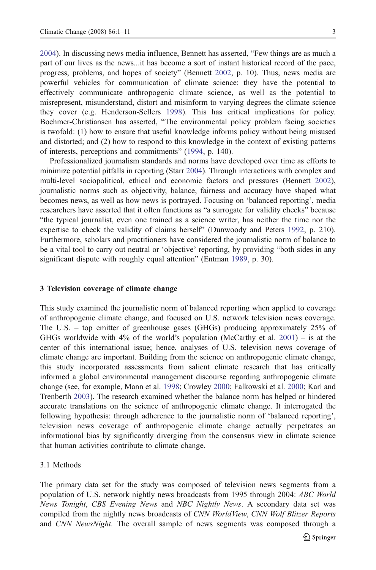[2004\)](#page-9-0). In discussing news media influence, Bennett has asserted, "Few things are as much a part of our lives as the news...it has become a sort of instant historical record of the pace, progress, problems, and hopes of society" (Bennett [2002](#page-8-0), p. 10). Thus, news media are powerful vehicles for communication of climate science: they have the potential to effectively communicate anthropogenic climate science, as well as the potential to misrepresent, misunderstand, distort and misinform to varying degrees the climate science they cover (e.g. Henderson-Sellers [1998](#page-9-0)). This has critical implications for policy. Boehmer-Christiansen has asserted, "The environmental policy problem facing societies is twofold: (1) how to ensure that useful knowledge informs policy without being misused and distorted; and (2) how to respond to this knowledge in the context of existing patterns of interests, perceptions and commitments" [\(1994](#page-9-0), p. 140).

Professionalized journalism standards and norms have developed over time as efforts to minimize potential pitfalls in reporting (Starr [2004\)](#page-9-0). Through interactions with complex and multi-level sociopolitical, ethical and economic factors and pressures (Bennett [2002](#page-8-0)), journalistic norms such as objectivity, balance, fairness and accuracy have shaped what becomes news, as well as how news is portrayed. Focusing on 'balanced reporting', media researchers have asserted that it often functions as "a surrogate for validity checks" because "the typical journalist, even one trained as a science writer, has neither the time nor the expertise to check the validity of claims herself" (Dunwoody and Peters [1992,](#page-9-0) p. 210). Furthermore, scholars and practitioners have considered the journalistic norm of balance to be a vital tool to carry out neutral or 'objective' reporting, by providing "both sides in any significant dispute with roughly equal attention" (Entman [1989](#page-9-0), p. 30).

## 3 Television coverage of climate change

This study examined the journalistic norm of balanced reporting when applied to coverage of anthropogenic climate change, and focused on U.S. network television news coverage. The U.S. – top emitter of greenhouse gases (GHGs) producing approximately 25% of GHGs worldwide with  $4\%$  of the world's population (McCarthy et al. [2001](#page-9-0)) – is at the center of this international issue; hence, analyses of U.S. television news coverage of climate change are important. Building from the science on anthropogenic climate change, this study incorporated assessments from salient climate research that has critically informed a global environmental management discourse regarding anthropogenic climate change (see, for example, Mann et al. [1998;](#page-9-0) Crowley [2000;](#page-9-0) Falkowski et al. [2000;](#page-9-0) Karl and Trenberth [2003](#page-9-0)). The research examined whether the balance norm has helped or hindered accurate translations on the science of anthropogenic climate change. It interrogated the following hypothesis: through adherence to the journalistic norm of 'balanced reporting', television news coverage of anthropogenic climate change actually perpetrates an informational bias by significantly diverging from the consensus view in climate science that human activities contribute to climate change.

## 3.1 Methods

The primary data set for the study was composed of television news segments from a population of U.S. network nightly news broadcasts from 1995 through 2004: ABC World News Tonight, CBS Evening News and NBC Nightly News. A secondary data set was compiled from the nightly news broadcasts of CNN WorldView, CNN Wolf Blitzer Reports and CNN NewsNight. The overall sample of news segments was composed through a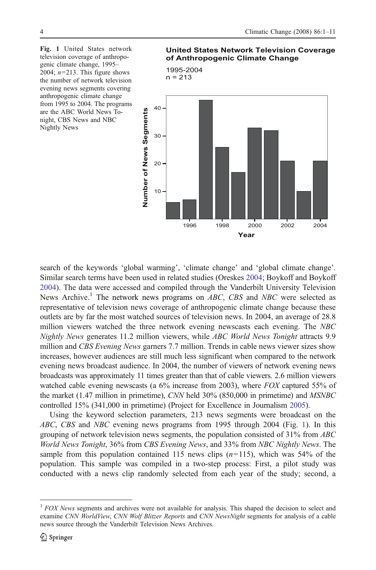Fig. 1 United States network television coverage of anthropogenic climate change, 1995– 2004;  $n=213$ . This figure shows the number of network television evening news segments covering anthropogenic climate change from 1995 to 2004. The programs are the ABC World News Tonight, CBS News and NBC Nightly News



### **United States Network Television Coverage of Anthropogenic Climate Change**

1995-2004  $n = 213$ 

search of the keywords 'global warming', 'climate change' and 'global climate change'. Similar search terms have been used in related studies (Oreskes [2004;](#page-9-0) Boykoff and Boykoff [2004\)](#page-9-0). The data were accessed and compiled through the Vanderbilt University Television News Archive.<sup>1</sup> The network news programs on ABC, CBS and NBC were selected as representative of television news coverage of anthropogenic climate change because these outlets are by far the most watched sources of television news. In 2004, an average of 28.8 million viewers watched the three network evening newscasts each evening. The NBC Nightly News generates 11.2 million viewers, while ABC World News Tonight attracts 9.9 million and CBS Evening News garners 7.7 million. Trends in cable news viewer sizes show increases, however audiences are still much less significant when compared to the network evening news broadcast audience. In 2004, the number of viewers of network evening news broadcasts was approximately 11 times greater than that of cable viewers. 2.6 million viewers watched cable evening newscasts (a 6% increase from 2003), where FOX captured 55% of the market (1.47 million in primetime), CNN held 30% (850,000 in primetime) and MSNBC controlled 15% (341,000 in primetime) (Project for Excellence in Journalism [2005](#page-9-0)).

Using the keyword selection parameters, 213 news segments were broadcast on the ABC, CBS and NBC evening news programs from 1995 through 2004 (Fig. 1). In this grouping of network television news segments, the population consisted of 31% from ABC World News Tonight, 36% from CBS Evening News, and 33% from NBC Nightly News. The sample from this population contained 115 news clips  $(n=115)$ , which was 54% of the population. This sample was compiled in a two-step process: First, a pilot study was conducted with a news clip randomly selected from each year of the study; second, a

 $1$  FOX News segments and archives were not available for analysis. This shaped the decision to select and examine CNN WorldView, CNN Wolf Blitzer Reports and CNN NewsNight segments for analysis of a cable news source through the Vanderbilt Television News Archives.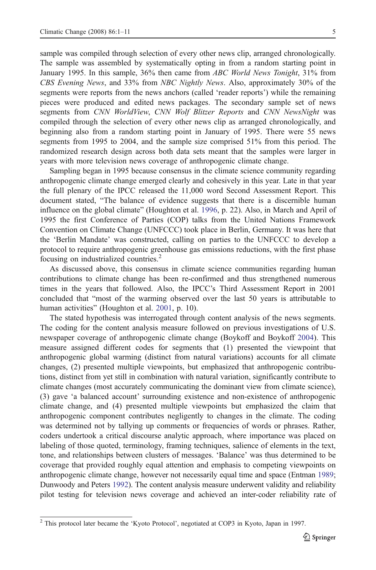sample was compiled through selection of every other news clip, arranged chronologically. The sample was assembled by systematically opting in from a random starting point in January 1995. In this sample, 36% then came from ABC World News Tonight, 31% from CBS Evening News, and 33% from NBC Nightly News. Also, approximately 30% of the segments were reports from the news anchors (called 'reader reports') while the remaining pieces were produced and edited news packages. The secondary sample set of news segments from CNN WorldView, CNN Wolf Blitzer Reports and CNN NewsNight was compiled through the selection of every other news clip as arranged chronologically, and beginning also from a random starting point in January of 1995. There were 55 news segments from 1995 to 2004, and the sample size comprised 51% from this period. The randomized research design across both data sets meant that the samples were larger in years with more television news coverage of anthropogenic climate change.

Sampling began in 1995 because consensus in the climate science community regarding anthropogenic climate change emerged clearly and cohesively in this year. Late in that year the full plenary of the IPCC released the 11,000 word Second Assessment Report. This document stated, "The balance of evidence suggests that there is a discernible human influence on the global climate" (Houghton et al. [1996](#page-9-0), p. 22). Also, in March and April of 1995 the first Conference of Parties (COP) talks from the United Nations Framework Convention on Climate Change (UNFCCC) took place in Berlin, Germany. It was here that the 'Berlin Mandate' was constructed, calling on parties to the UNFCCC to develop a protocol to require anthropogenic greenhouse gas emissions reductions, with the first phase focusing on industrialized countries.<sup>2</sup>

As discussed above, this consensus in climate science communities regarding human contributions to climate change has been re-confirmed and thus strengthened numerous times in the years that followed. Also, the IPCC's Third Assessment Report in 2001 concluded that "most of the warming observed over the last 50 years is attributable to human activities" (Houghton et al. [2001](#page-9-0), p. 10).

The stated hypothesis was interrogated through content analysis of the news segments. The coding for the content analysis measure followed on previous investigations of U.S. newspaper coverage of anthropogenic climate change (Boykoff and Boykoff [2004\)](#page-9-0). This measure assigned different codes for segments that (1) presented the viewpoint that anthropogenic global warming (distinct from natural variations) accounts for all climate changes, (2) presented multiple viewpoints, but emphasized that anthropogenic contributions, distinct from yet still in combination with natural variation, significantly contribute to climate changes (most accurately communicating the dominant view from climate science), (3) gave 'a balanced account' surrounding existence and non-existence of anthropogenic climate change, and (4) presented multiple viewpoints but emphasized the claim that anthropogenic component contributes negligently to changes in the climate. The coding was determined not by tallying up comments or frequencies of words or phrases. Rather, coders undertook a critical discourse analytic approach, where importance was placed on labeling of those quoted, terminology, framing techniques, salience of elements in the text, tone, and relationships between clusters of messages. 'Balance' was thus determined to be coverage that provided roughly equal attention and emphasis to competing viewpoints on anthropogenic climate change, however not necessarily equal time and space (Entman [1989](#page-9-0); Dunwoody and Peters [1992](#page-9-0)). The content analysis measure underwent validity and reliability pilot testing for television news coverage and achieved an inter-coder reliability rate of

<sup>&</sup>lt;sup>2</sup> This protocol later became the 'Kyoto Protocol', negotiated at COP3 in Kyoto, Japan in 1997.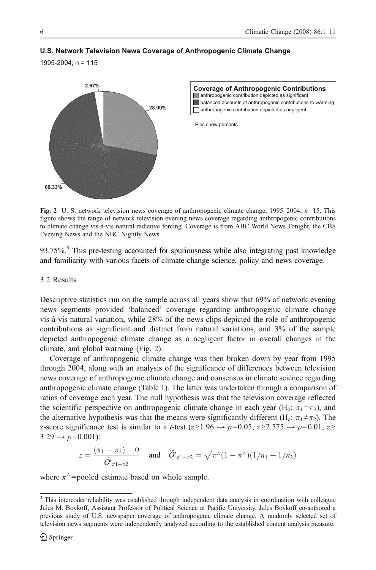

#### **U.S. Network Television News Coverage of Anthropogenic Climate Change**

1995-2004;  $n = 115$ 

Fig. 2 U. S. network television news coverage of anthropogenic climate change,  $1995-2004$ ;  $n=15$ . This figure shows the range of network television evening news coverage regarding anthropogenic contributions to climate change vis-à-vis natural radiative forcing. Coverage is from ABC World News Tonight, the CBS Evening News and the NBC Nightly News

93.75%.<sup>3</sup> This pre-testing accounted for spuriousness while also integrating past knowledge and familiarity with various facets of climate change science, policy and news coverage.

## 3.2 Results

Descriptive statistics run on the sample across all years show that 69% of network evening news segments provided 'balanced' coverage regarding anthropogenic climate change vis-à-vis natural variation, while 28% of the news clips depicted the role of anthropogenic contributions as significant and distinct from natural variations, and 3% of the sample depicted anthropogenic climate change as a negligent factor in overall changes in the climate, and global warming (Fig. 2).

Coverage of anthropogenic climate change was then broken down by year from 1995 through 2004, along with an analysis of the significance of differences between television news coverage of anthropogenic climate change and consensus in climate science regarding anthropogenic climate change (Table [1\)](#page-6-0). The latter was undertaken through a comparison of ratios of coverage each year. The null hypothesis was that the television coverage reflected the scientific perspective on anthropogenic climate change in each year  $(H_0: \pi_1 = \pi_2)$ , and the alternative hypothesis was that the means were significantly different ( $H_a$ :  $\pi_1 \neq \pi_2$ ). The z-score significance test is similar to a *t*-test ( $z \ge 1.96 \rightarrow p=0.05$ ;  $z \ge 2.575 \rightarrow p=0.01$ ;  $z \ge$  $3.29 \rightarrow p=0.001$ : th to  $\frac{1}{\widetilde{O}}$ rand optimal of the contract the contract of the transity of the means were significantly different (H<sub>a</sub>: r to a *t*-test ( $z \ge 1.96 \rightarrow p=0.05$ ;  $z \ge 2.575 \rightarrow$  and  $\tilde{O}'_{\pi 1 - \pi 2} = \sqrt{\pi} \sqrt{(1 - \pi^{\wedge})(1/n_1 + 1/n_2)}$ 

$$
z=\frac{(\pi_1-\pi_2)-0}{\widetilde{O}'_{\pi1-\pi2}} \quad \text{and} \quad \widetilde{O}'_{\pi1-\pi2}=\sqrt{\pi^\wedge(1-\pi^\wedge)(1/n_1+1/n_2)}
$$

where  $\pi$ <sup> $\land$ </sup> =pooled estimate based on whole sample.

<sup>&</sup>lt;sup>3</sup> This intercoder reliability was established through independent data analysis in coordination with colleague Jules M. Boykoff, Assistant Professor of Political Science at Pacific University. Jules Boykoff co-authored a previous study of U.S. newspaper coverage of anthropogenic climate change. A randomly selected set of television news segments were independently analyzed according to the established content analysis measure.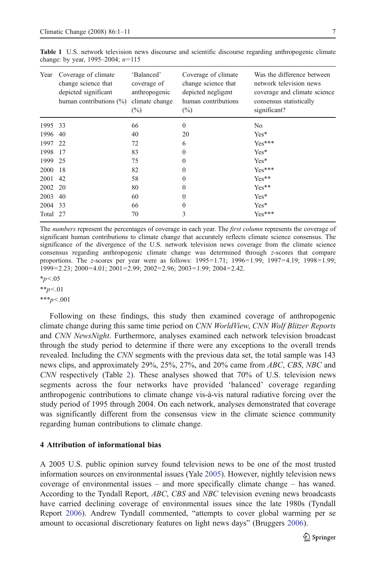| Year     | Coverage of climate<br>change science that<br>depicted significant<br>human contributions $(\%)$ | 'Balanced'<br>coverage of<br>anthropogenic<br>climate change<br>$(\%)$ | Coverage of climate<br>change science that<br>depicted negligent<br>human contributions<br>$(\%)$ | Was the difference between<br>network television news<br>coverage and climate science<br>consensus statistically<br>significant? |
|----------|--------------------------------------------------------------------------------------------------|------------------------------------------------------------------------|---------------------------------------------------------------------------------------------------|----------------------------------------------------------------------------------------------------------------------------------|
| 1995 33  |                                                                                                  | 66                                                                     | $\mathbf{0}$                                                                                      | No.                                                                                                                              |
| 1996     | 40                                                                                               | 40                                                                     | 20                                                                                                | $Yes*$                                                                                                                           |
| 1997     | 22                                                                                               | 72                                                                     | 6                                                                                                 | $Yes***$                                                                                                                         |
| 1998     | 17                                                                                               | 83                                                                     | $\mathbf{0}$                                                                                      | Yes*                                                                                                                             |
| 1999     | 25                                                                                               | 75                                                                     | $\mathbf{0}$                                                                                      | $Yes*$                                                                                                                           |
| 2000     | -18                                                                                              | 82                                                                     | $\theta$                                                                                          | $Yes***$                                                                                                                         |
| 2001     | 42                                                                                               | 58                                                                     | $\mathbf{0}$                                                                                      | Yes**                                                                                                                            |
| 2002     | 20                                                                                               | 80                                                                     | $\theta$                                                                                          | Yes**                                                                                                                            |
| 2003     | 40                                                                                               | 60                                                                     | $\theta$                                                                                          | $Yes*$                                                                                                                           |
| 2004 33  |                                                                                                  | 66                                                                     | $\mathbf{0}$                                                                                      | $Yes*$                                                                                                                           |
| Total 27 |                                                                                                  | 70                                                                     | 3                                                                                                 | $Yes***$                                                                                                                         |

<span id="page-6-0"></span>Table 1 U.S. network television news discourse and scientific discourse regarding anthropogenic climate change: by year, 1995–2004;  $n=115$ 

The numbers represent the percentages of coverage in each year. The first column represents the coverage of significant human contributions to climate change that accurately reflects climate science consensus. The significance of the divergence of the U.S. network television news coverage from the climate science consensus regarding anthropogenic climate change was determined through z-scores that compare proportions. The z-scores per year were as follows: 1995=1.71; 1996=1.99; 1997=4.19; 1998=1.99; 1999=2.23; 2000=4.01; 2001=2.99; 2002=2.96; 2003=1.99; 2004=2.42.

 $*_{p<.05}$ 

 $*p<.01$ 

\*\*\* $p < .001$ 

Following on these findings, this study then examined coverage of anthropogenic climate change during this same time period on CNN WorldView, CNN Wolf Blitzer Reports and CNN NewsNight. Furthermore, analyses examined each network television broadcast through the study period to determine if there were any exceptions to the overall trends revealed. Including the CNN segments with the previous data set, the total sample was 143 news clips, and approximately 29%, 25%, 27%, and 20% came from ABC, CBS, NBC and CNN respectively (Table [2\)](#page-7-0). These analyses showed that 70% of U.S. television news segments across the four networks have provided 'balanced' coverage regarding anthropogenic contributions to climate change vis-à-vis natural radiative forcing over the study period of 1995 through 2004. On each network, analyses demonstrated that coverage was significantly different from the consensus view in the climate science community regarding human contributions to climate change.

## 4 Attribution of informational bias

A 2005 U.S. public opinion survey found television news to be one of the most trusted information sources on environmental issues (Yale [2005\)](#page-10-0). However, nightly television news coverage of environmental issues – and more specifically climate change – has waned. According to the Tyndall Report, ABC, CBS and NBC television evening news broadcasts have carried declining coverage of environmental issues since the late 1980s (Tyndall Report [2006\)](#page-10-0). Andrew Tyndall commented, "attempts to cover global warming per se amount to occasional discretionary features on light news days" (Bruggers [2006\)](#page-9-0).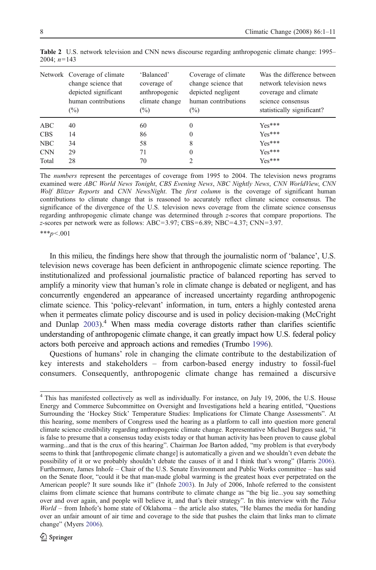|            | Network Coverage of climate<br>change science that<br>depicted significant<br>human contributions<br>$\binom{0}{0}$ | 'Balanced'<br>coverage of<br>anthropogenic<br>climate change<br>$\binom{0}{0}$ | Coverage of climate<br>change science that<br>depicted negligent<br>human contributions<br>$\binom{0}{0}$ | Was the difference between<br>network television news<br>coverage and climate<br>science consensus<br>statistically significant? |
|------------|---------------------------------------------------------------------------------------------------------------------|--------------------------------------------------------------------------------|-----------------------------------------------------------------------------------------------------------|----------------------------------------------------------------------------------------------------------------------------------|
| ABC        | 40                                                                                                                  | 60                                                                             | 0                                                                                                         | $Yes***$                                                                                                                         |
| <b>CBS</b> | 14                                                                                                                  | 86                                                                             | $\mathbf{0}$                                                                                              | $Yes***$                                                                                                                         |
| NBC        | 34                                                                                                                  | 58                                                                             | 8                                                                                                         | $Yes***$                                                                                                                         |
| <b>CNN</b> | 29                                                                                                                  | 71                                                                             | $\Omega$                                                                                                  | $Yes***$                                                                                                                         |
| Total      | 28                                                                                                                  | 70                                                                             | 2                                                                                                         | $Yes***$                                                                                                                         |

<span id="page-7-0"></span>Table 2 U.S. network television and CNN news discourse regarding anthropogenic climate change: 1995– 2004;  $n=143$ 

The numbers represent the percentages of coverage from 1995 to 2004. The television news programs examined were ABC World News Tonight, CBS Evening News, NBC Nightly News, CNN WorldView, CNN Wolf Blitzer Reports and CNN NewsNight. The first column is the coverage of significant human contributions to climate change that is reasoned to accurately reflect climate science consensus. The significance of the divergence of the U.S. television news coverage from the climate science consensus regarding anthropogenic climate change was determined through z-scores that compare proportions. The z-scores per network were as follows: ABC=3.97; CBS=6.89; NBC=4.37; CNN=3.97.

\*\*\* $p < .001$ 

In this milieu, the findings here show that through the journalistic norm of 'balance', U.S. television news coverage has been deficient in anthropogenic climate science reporting. The institutionalized and professional journalistic practice of balanced reporting has served to amplify a minority view that human's role in climate change is debated or negligent, and has concurrently engendered an appearance of increased uncertainty regarding anthropogenic climate science. This 'policy-relevant' information, in turn, enters a highly contested arena when it permeates climate policy discourse and is used in policy decision-making (McCright and Dunlap [2003\)](#page-9-0).<sup>4</sup> When mass media coverage distorts rather than clarifies scientific understanding of anthropogenic climate change, it can greatly impact how U.S. federal policy actors both perceive and approach actions and remedies (Trumbo [1996\)](#page-10-0).

Questions of humans' role in changing the climate contribute to the destabilization of key interests and stakeholders – from carbon-based energy industry to fossil-fuel consumers. Consequently, anthropogenic climate change has remained a discursive

<sup>&</sup>lt;sup>4</sup> This has manifested collectively as well as individually. For instance, on July 19, 2006, the U.S. House Energy and Commerce Subcommittee on Oversight and Investigations held a hearing entitled, "Questions Surrounding the 'Hockey Stick' Temperature Studies: Implications for Climate Change Assessments". At this hearing, some members of Congress used the hearing as a platform to call into question more general climate science credibility regarding anthropogenic climate change. Representative Michael Burgess said, "it is false to presume that a consensus today exists today or that human activity has been proven to cause global warming...and that is the crux of this hearing". Chairman Joe Barton added, "my problem is that everybody seems to think that [anthropogenic climate change] is automatically a given and we shouldn't even debate the possibility of it or we probably shouldn't debate the causes of it and I think that's wrong" (Harris [2006](#page-9-0)). Furthermore, James Inhofe – Chair of the U.S. Senate Environment and Public Works committee – has said on the Senate floor, "could it be that man-made global warming is the greatest hoax ever perpetrated on the American people? It sure sounds like it" (Inhofe [2003\)](#page-9-0). In July of 2006, Inhofe referred to the consistent claims from climate science that humans contribute to climate change as "the big lie...you say something over and over again, and people will believe it, and that's their strategy". In this interview with the Tulsa World – from Inhofe's home state of Oklahoma – the article also states, "He blames the media for handing over an unfair amount of air time and coverage to the side that pushes the claim that links man to climate change" (Myers [2006](#page-9-0)).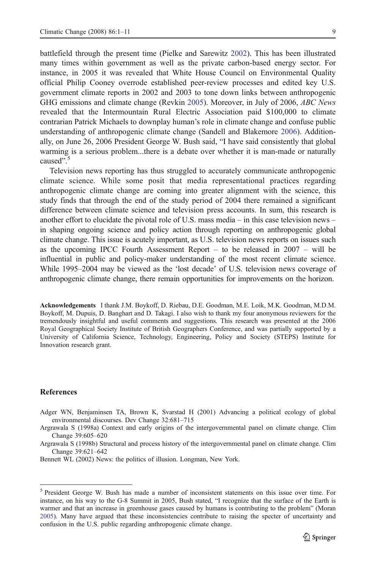<span id="page-8-0"></span>battlefield through the present time (Pielke and Sarewitz [2002\)](#page-9-0). This has been illustrated many times within government as well as the private carbon-based energy sector. For instance, in 2005 it was revealed that White House Council on Environmental Quality official Philip Cooney overrode established peer-review processes and edited key U.S. government climate reports in 2002 and 2003 to tone down links between anthropogenic GHG emissions and climate change (Revkin [2005\)](#page-9-0). Moreover, in July of 2006, ABC News revealed that the Intermountain Rural Electric Association paid \$100,000 to climate contrarian Patrick Michaels to downplay human's role in climate change and confuse public understanding of anthropogenic climate change (Sandell and Blakemore [2006](#page-9-0)). Additionally, on June 26, 2006 President George W. Bush said, "I have said consistently that global warming is a serious problem...there is a debate over whether it is man-made or naturally caused". 5

Television news reporting has thus struggled to accurately communicate anthropogenic climate science. While some posit that media representational practices regarding anthropogenic climate change are coming into greater alignment with the science, this study finds that through the end of the study period of 2004 there remained a significant difference between climate science and television press accounts. In sum, this research is another effort to elucidate the pivotal role of U.S. mass media – in this case television news – in shaping ongoing science and policy action through reporting on anthropogenic global climate change. This issue is acutely important, as U.S. television news reports on issues such as the upcoming IPCC Fourth Assessment Report – to be released in 2007 – will be influential in public and policy-maker understanding of the most recent climate science. While 1995–2004 may be viewed as the 'lost decade' of U.S. television news coverage of anthropogenic climate change, there remain opportunities for improvements on the horizon.

Acknowledgements I thank J.M. Boykoff, D. Riebau, D.E. Goodman, M.E. Loik, M.K. Goodman, M.D.M. Boykoff, M. Dupuis, D. Banghart and D. Takagi. I also wish to thank my four anonymous reviewers for the tremendously insightful and useful comments and suggestions. This research was presented at the 2006 Royal Geographical Society Institute of British Geographers Conference, and was partially supported by a University of California Science, Technology, Engineering, Policy and Society (STEPS) Institute for Innovation research grant.

#### References

Adger WN, Benjaminsen TA, Brown K, Svarstad H (2001) Advancing a political ecology of global environmental discourses. Dev Change 32:681–715

Argrawala S (1998a) Context and early origins of the intergovernmental panel on climate change. Clim Change 39:605–620

Argrawala S (1998b) Structural and process history of the intergovernmental panel on climate change. Clim Change 39:621–642

Bennett WL (2002) News: the politics of illusion. Longman, New York.

<sup>5</sup> President George W. Bush has made a number of inconsistent statements on this issue over time. For instance, on his way to the G-8 Summit in 2005, Bush stated, "I recognize that the surface of the Earth is warmer and that an increase in greenhouse gases caused by humans is contributing to the problem" (Moran [2005\)](#page-9-0). Many have argued that these inconsistencies contribute to raising the specter of uncertainty and confusion in the U.S. public regarding anthropogenic climate change.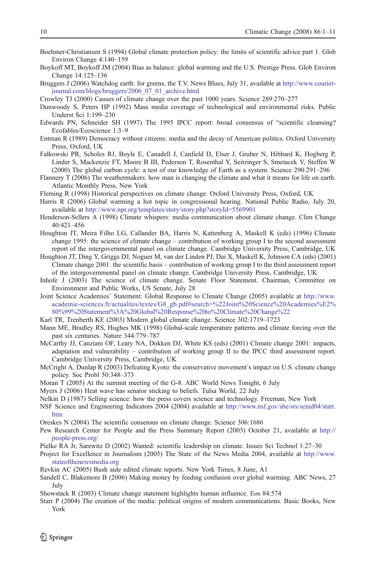- <span id="page-9-0"></span>Boehmer-Christiansen S (1994) Global climate protection policy: the limits of scientific advice part 1. Glob Environ Change 4:140–159
- Boykoff MT, Boykoff JM (2004) Bias as balance: global warming and the U.S. Prestige Press. Glob Environ Change 14:125–136
- Bruggers J (2006) Watchdog earth: for greens, the T.V. News Blues, July 31, available at [http://www.courier](http://www.courier-journal.com/blogs/bruggers/2006_07_01_archive.html)[journal.com/blogs/bruggers/2006\\_07\\_01\\_archive.html](http://www.courier-journal.com/blogs/bruggers/2006_07_01_archive.html)

Crowley TJ (2000) Causes of climate change over the past 1000 years. Science 289:270–277

Dunwoody S, Peters HP (1992) Mass media coverage of technological and environmental risks. Public Underst Sci 1:199–230

- Edwards PN, Schneider SH (1997) The 1995 IPCC report: broad consensus of "scientific cleansing? Ecofables/Ecoscience 1:3–9
- Entman R (1989) Democracy without citizens: media and the decay of American politics. Oxford University Press, Oxford, UK
- Falkowski PR, Scholes RJ, Boyle E, Canadell J, Canfield D, Elser J, Gruber N, Hibbard K, Hogberg P, Linder S, Mackenzie FT, Moore B III, Pederson T, Rosenthal Y, Seitzinger S, Smetacek V, Steffen W (2000) The global carbon cycle: a test of our knowledge of Earth as a system. Science 290:291–296
- Flannery T (2006) The weathermakers: how man is changing the climate and what it means for life on earth. Atlantic Monthly Press, New York
- Fleming R (1998) Historical perspectives on climate change. Oxford University Press, Oxford, UK
- Harris R (2006) Global warming a hot topic in congressional hearing. National Public Radio, July 20, available at <http://www.npr.org/templates/story/story.php?storyId=5569901>
- Henderson-Sellers A (1998) Climate whispers: media communication about climate change. Clim Change 40:421–456
- Houghton JT, Meira Filho LG, Callander BA, Harris N, Kattenberg A, Maskell K (eds) (1996) Climate change 1995: the science of climate change – contribution of working group I to the second assessment report of the intergovernmental panel on climate change. Cambridge University Press, Cambridge, UK
- Houghton JT, Ding Y, Griggs DJ, Noguer M, van der Linden PJ, Dai X, Maskell K, Johnson CA (eds) (2001) Climate change 2001: the scientific basis – contribution of working group I to the third assessment report of the intergovernmental panel on climate change. Cambridge University Press, Cambridge, UK
- Inhofe J (2003) The science of climate change. Senate Floor Statement. Chairman, Committee on Environment and Public Works, US Senate, July 28
- Joint Science Academies' Statement: Global Response to Climate Change (2005) available at [http://www.](http://www.academie-sciences.fr/actualites/textes/G8_gb.pdf#search=%22Joint%20Science%20Academies%E2%80%99%20Statement%3A%20Global%20Response%20to%20Climate%20Change%22) [academie-sciences.fr/actualites/textes/G8\\_gb.pdf#search=%22Joint%20Science%20Academies%E2%](http://www.academie-sciences.fr/actualites/textes/G8_gb.pdf#search=%22Joint%20Science%20Academies%E2%80%99%20Statement%3A%20Global%20Response%20to%20Climate%20Change%22) [80%99%20Statement%3A%20Global%20Response%20to%20Climate%20Change%22](http://www.academie-sciences.fr/actualites/textes/G8_gb.pdf#search=%22Joint%20Science%20Academies%E2%80%99%20Statement%3A%20Global%20Response%20to%20Climate%20Change%22)
- Karl TR, Trenberth KE (2003) Modern global climate change. Science 302:1719–1723
- Mann ME, Bradley RS, Hughes MK (1998) Global-scale temperature patterns and climate forcing over the past six centuries. Nature 344:779–787
- McCarthy JJ, Canziani OF, Leary NA, Dokken DJ, White KS (eds) (2001) Climate change 2001: impacts, adaptation and vulnerability – contribution of working group II to the IPCC third assessment report. Cambridge University Press, Cambridge, UK
- McCright A, Dunlap R (2003) Defeating Kyoto: the conservative movement's impact on U.S. climate change policy. Soc Probl 50:348–373
- Moran T (2005) At the summit meeting of the G-8. ABC World News Tonight, 6 July
- Myers J (2006) Heat wave has senator sticking to beliefs. Tulsa World, 22 July
- Nelkin D (1987) Selling science: how the press covers science and technology. Freeman, New York
- NSF Science and Engineering Indicators 2004 (2004) available at [http://www.nsf.gov/sbe/srs/seind04/start.](http://www.nsf.gov/sbe/srs/seind04/start.htm) [htm](http://www.nsf.gov/sbe/srs/seind04/start.htm)
- Oreskes N (2004) The scientific consensus on climate change. Science 306:1686
- Pew Research Center for People and the Press Summary Report (2003) October 21, available at [http://](http://people-press.org/) [people-press.org/](http://people-press.org/)
- Pielke RA Jr, Sarewitz D (2002) Wanted: scientific leadership on climate. Issues Sci Technol 1:27–30
- Project for Excellence in Journalism (2005) The State of the News Media 2004, available at [http://www.](http://www.stateofthenewsmedia.org) [stateofthenewsmedia.org](http://www.stateofthenewsmedia.org)
- Revkin AC (2005) Bush aide edited climate reports. New York Times, 8 June, A1
- Sandell C, Blakemore B (2006) Making money by feeding confusion over global warming. ABC News, 27 July
- Showstack R (2003) Climate change statement highlights human influence. Eos 84:574
- Starr P (2004) The creation of the media: political origins of modern communications. Basic Books, New York